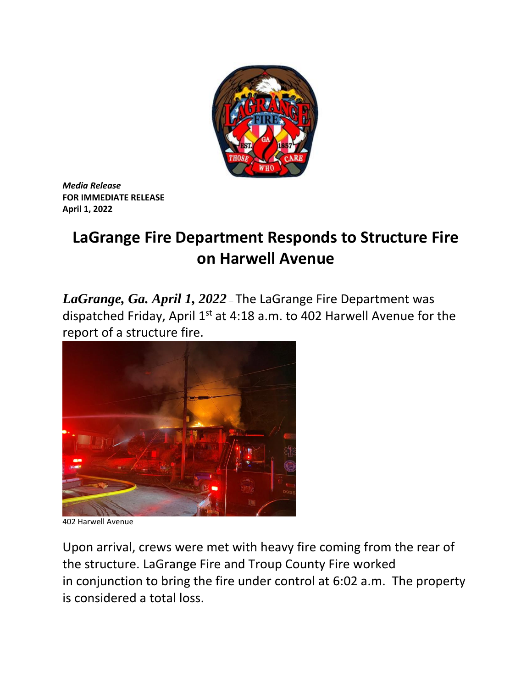

*Media Release* **FOR IMMEDIATE RELEASE April 1, 2022**

## **LaGrange Fire Department Responds to Structure Fire on Harwell Avenue**

*LaGrange, Ga. April 1, 2022* – The LaGrange Fire Department was dispatched Friday, April  $1<sup>st</sup>$  at 4:18 a.m. to 402 Harwell Avenue for the report of a structure fire.



402 Harwell Avenue

Upon arrival, crews were met with heavy fire coming from the rear of the structure. LaGrange Fire and Troup County Fire worked in conjunction to bring the fire under control at 6:02 a.m. The property is considered a total loss.